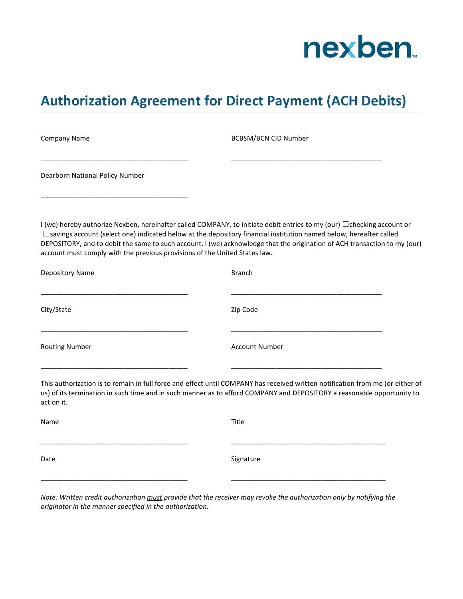

## **Authorization Agreement for Direct Payment (ACH Debits)**

| <b>Company Name</b>                                                                                                                                                                               | <b>BCBSM/BCN CID Number</b>                                                                                                                                                                                                                               |
|---------------------------------------------------------------------------------------------------------------------------------------------------------------------------------------------------|-----------------------------------------------------------------------------------------------------------------------------------------------------------------------------------------------------------------------------------------------------------|
| Dearborn National Policy Number                                                                                                                                                                   |                                                                                                                                                                                                                                                           |
| □savings account (select one) indicated below at the depository financial institution named below, hereafter called<br>account must comply with the previous provisions of the United States law. | I (we) hereby authorize Nexben, hereinafter called COMPANY, to initiate debit entries to my (our) $\Box$ checking account or<br>DEPOSITORY, and to debit the same to such account. I (we) acknowledge that the origination of ACH transaction to my (our) |
| Depository Name                                                                                                                                                                                   | <b>Branch</b>                                                                                                                                                                                                                                             |
| City/State                                                                                                                                                                                        | Zip Code                                                                                                                                                                                                                                                  |
| <b>Routing Number</b>                                                                                                                                                                             | <b>Account Number</b>                                                                                                                                                                                                                                     |
| act on it.                                                                                                                                                                                        | This authorization is to remain in full force and effect until COMPANY has received written notification from me (or either of<br>us) of its termination in such time and in such manner as to afford COMPANY and DEPOSITORY a reasonable opportunity to  |
| Name                                                                                                                                                                                              | Title                                                                                                                                                                                                                                                     |
| Date                                                                                                                                                                                              | Signature                                                                                                                                                                                                                                                 |
|                                                                                                                                                                                                   |                                                                                                                                                                                                                                                           |

*Note: Written credit authorization must provide that the receiver may revoke the authorization only by notifying the originator in the manner specified in the authorization.*